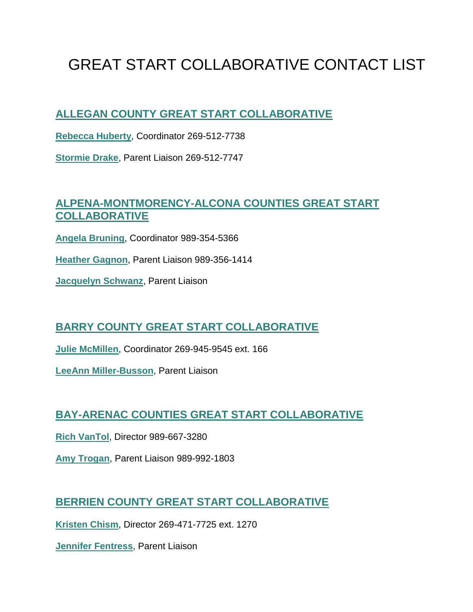# GREAT START COLLABORATIVE CONTACT LIST

## **[ALLEGAN COUNTY GREAT](https://nam10.safelinks.protection.outlook.com/?url=https%3A%2F%2Fwww.helpmegrowallegan.org%2Fparentsconnected&data=04%7C01%7Ckfmartin%40svsu.edu%7C2a2fee284a734ac8e5d008d963760480%7C550f45ff3e8342a197d970ad8935b0c5%7C0%7C0%7C637650181516773330%7CUnknown%7CTWFpbGZsb3d8eyJWIjoiMC4wLjAwMDAiLCJQIjoiV2luMzIiLCJBTiI6Ik1haWwiLCJXVCI6Mn0%3D%7C2000&sdata=xOAPR6h1M8qzFcvbo7fqm7RJRw69ikX4uLbUj%2BUgtXY%3D&reserved=0) START COLLABORATIVE**

**[Rebecca Huberty](mailto:rebecca.huberty2@alleganaesa.org?subject=Great%20Start%20Collaborative%20and%20Parent%20Coalition)**, Coordinator 269-512-7738

**[Stormie Drake](mailto:stormie.drake@alleganaesa.org?subject=Great%20Start%20Collaborative%20and%20Parent%20Coalition)**, Parent Liaison 269-512-7747

## **[ALPENA-MONTMORENCY-ALCONA COUNTIES GREAT START](https://nam10.safelinks.protection.outlook.com/?url=https%3A%2F%2Fwww.amaesd.org%2Fprograms-services%2Fgreat-start-collaborative%2F&data=04%7C01%7Ckfmartin%40svsu.edu%7C2a2fee284a734ac8e5d008d963760480%7C550f45ff3e8342a197d970ad8935b0c5%7C0%7C0%7C637650181516778308%7CUnknown%7CTWFpbGZsb3d8eyJWIjoiMC4wLjAwMDAiLCJQIjoiV2luMzIiLCJBTiI6Ik1haWwiLCJXVCI6Mn0%3D%7C2000&sdata=%2FdH1lYDs%2FAqsqUoaE4jAPOkV0xgnypSVhi1V%2FfABrsc%3D&reserved=0)  [COLLABORATIVE](https://nam10.safelinks.protection.outlook.com/?url=https%3A%2F%2Fwww.amaesd.org%2Fprograms-services%2Fgreat-start-collaborative%2F&data=04%7C01%7Ckfmartin%40svsu.edu%7C2a2fee284a734ac8e5d008d963760480%7C550f45ff3e8342a197d970ad8935b0c5%7C0%7C0%7C637650181516778308%7CUnknown%7CTWFpbGZsb3d8eyJWIjoiMC4wLjAwMDAiLCJQIjoiV2luMzIiLCJBTiI6Ik1haWwiLCJXVCI6Mn0%3D%7C2000&sdata=%2FdH1lYDs%2FAqsqUoaE4jAPOkV0xgnypSVhi1V%2FfABrsc%3D&reserved=0)**

**[Angela Bruning](mailto:bruninga@amaesd.org?subject=Great%20Start%20Collaborative%20and%20Parent%20Coalition)**, Coordinator 989-354-5366

**[Heather Gagnon](mailto:gagnonh@amaesd.org?subject=Great%20Start%20Collaborative%20and%20Parent%20Coalition)**, Parent Liaison 989-356-1414

**[Jacquelyn Schwanz](mailto:schwanzj@amaesd.org?subject=Great%20Start%20Collaborative%20and%20Parent%20Coalition)**, Parent Liaison

## **[BARRY COUNTY GREAT START COLLABORATIVE](https://nam10.safelinks.protection.outlook.com/?url=https%3A%2F%2Fwww.greatstartbarry.org%2Fparent-coalition&data=04%7C01%7Ckfmartin%40svsu.edu%7C2a2fee284a734ac8e5d008d963760480%7C550f45ff3e8342a197d970ad8935b0c5%7C0%7C0%7C637650181516783287%7CUnknown%7CTWFpbGZsb3d8eyJWIjoiMC4wLjAwMDAiLCJQIjoiV2luMzIiLCJBTiI6Ik1haWwiLCJXVCI6Mn0%3D%7C2000&sdata=0M7qeAMR1ymKEy56pliBVHgx%2F0u5PcivMG5856zbQ4Y%3D&reserved=0)**

**[Julie McMillen](mailto:mcmillenj@calhounisd.org?subject=Great%20Start%20Collaborative%20and%20Parent%20Coalition)**, Coordinator 269-945-9545 ext. 166

**[LeeAnn Miller-Busson](mailto:bussonl@calhounisd.org?subject=Great%20Start%20Collaborative%20and%20Parent%20Coalition)**, Parent Liaison

## **[BAY-ARENAC COUNTIES GREAT START COLLABORATIVE](https://nam10.safelinks.protection.outlook.com/?url=http%3A%2F%2Fwww.bayarenacgreatstart.org%2F&data=04%7C01%7Ckfmartin%40svsu.edu%7C2a2fee284a734ac8e5d008d963760480%7C550f45ff3e8342a197d970ad8935b0c5%7C0%7C0%7C637650181516788268%7CUnknown%7CTWFpbGZsb3d8eyJWIjoiMC4wLjAwMDAiLCJQIjoiV2luMzIiLCJBTiI6Ik1haWwiLCJXVCI6Mn0%3D%7C2000&sdata=KBjRMSD4X3nayOOfG7fF69qxL08lUmNJxcWF%2BR0QLf4%3D&reserved=0)**

**[Rich VanTol](mailto:vantolr@baisd.net?subject=Great%20Start%20Collaborative%20and%20Parent%20Coalition)**, Director 989-667-3280

**[Amy Trogan](mailto:trogana@baisd.net?subject=Great%20Start%20Collaborative%20and%20Parent%20Coalition)**, Parent Liaison 989-992-1803

## **[BERRIEN COUNTY GREAT](https://nam10.safelinks.protection.outlook.com/?url=https%3A%2F%2Fgreatstartberrien.org%2F&data=04%7C01%7Ckfmartin%40svsu.edu%7C2a2fee284a734ac8e5d008d963760480%7C550f45ff3e8342a197d970ad8935b0c5%7C0%7C0%7C637650181516788268%7CUnknown%7CTWFpbGZsb3d8eyJWIjoiMC4wLjAwMDAiLCJQIjoiV2luMzIiLCJBTiI6Ik1haWwiLCJXVCI6Mn0%3D%7C2000&sdata=OtbeD4xSaOP6zgYF07mUvHUJ7rfZBHEmj8ySNXUA5oQ%3D&reserved=0) START COLLABORATIVE**

**[Kristen Chism](mailto:kristen.chism@uwsm.org?subject=Great%20Start%20Collaborative%20and%20Parent%20Coalition)**, Director 269-471-7725 ext. 1270

**[Jennifer Fentress](mailto:jennifer.fentress@berrienesa.org?subject=Great%20Start%20Collaborative%20and%20Parent%20Coalition)**, Parent Liaison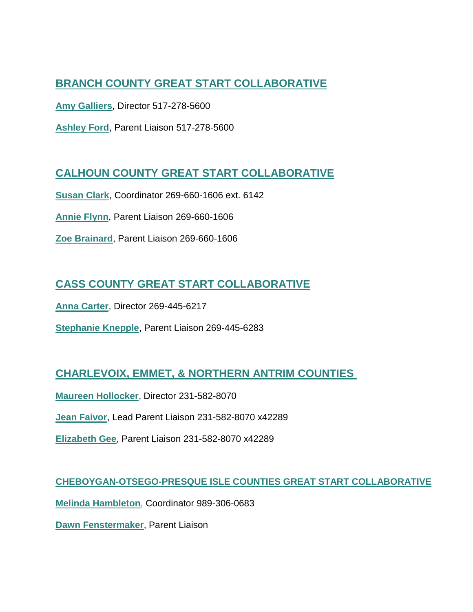# **[BRANCH COUNTY GREAT START COLLABORATIVE](https://nam10.safelinks.protection.outlook.com/?url=https%3A%2F%2Fbranch-isd.org%2Fearlyed%2Fgreat-start-collaborative%2F&data=04%7C01%7Ckfmartin%40svsu.edu%7C2a2fee284a734ac8e5d008d963760480%7C550f45ff3e8342a197d970ad8935b0c5%7C0%7C0%7C637650181516793249%7CUnknown%7CTWFpbGZsb3d8eyJWIjoiMC4wLjAwMDAiLCJQIjoiV2luMzIiLCJBTiI6Ik1haWwiLCJXVCI6Mn0%3D%7C2000&sdata=bkP%2Bro5abr1bVIHOwJJ8GnuqWSLvS8FxIZNw%2BkKTNkc%3D&reserved=0)**

**[Amy Galliers](mailto:galliera@branch-isd.org?subject=Great%20Start%20Collaborative%20and%20Parent%20Coalition)**, Director 517-278-5600

**[Ashley Ford](mailto:FordA@branch-isd.org?subject=Great%20Start%20Collaborative%20and%20Parent%20Coalition)**, Parent Liaison 517-278-5600

## **[CALHOUN COUNTY GREAT](https://nam10.safelinks.protection.outlook.com/?url=https%3A%2F%2Fwww.calhounisd.org%2Fdepartments%2Fearly-childhood-services%2F&data=04%7C01%7Ckfmartin%40svsu.edu%7C2a2fee284a734ac8e5d008d963760480%7C550f45ff3e8342a197d970ad8935b0c5%7C0%7C0%7C637650181516798226%7CUnknown%7CTWFpbGZsb3d8eyJWIjoiMC4wLjAwMDAiLCJQIjoiV2luMzIiLCJBTiI6Ik1haWwiLCJXVCI6Mn0%3D%7C2000&sdata=VWHxvRpNUZoHVtoD5zt508HQmuL0zdhJM0IaahJ669k%3D&reserved=0) START COLLABORATIVE**

**[Susan Clark](mailto:clarks@calhounisd.org?subject=Great%20Start%20Collaborative%20and%20Parent%20Coalition)**, Coordinator 269-660-1606 ext. 6142

**[Annie Flynn](mailto:flynna@calhounisd.org?subject=Great%20Start%20Collaborative%20and%20Parent%20Coalition)**, Parent Liaison 269-660-1606

**[Zoe Brainard](mailto:brainarz@calhounisd.org?subject=Great%20Start%20Collaborative%20and%20Parent%20Coalition)**, Parent Liaison 269-660-1606

## **CASS COUNTY [GREAT START COLLABORATIVE](https://nam10.safelinks.protection.outlook.com/?url=https%3A%2F%2Fgreatstartcass.org%2Fgreat-start-collaborative-2%2F&data=04%7C01%7Ckfmartin%40svsu.edu%7C2a2fee284a734ac8e5d008d963760480%7C550f45ff3e8342a197d970ad8935b0c5%7C0%7C0%7C637650181516803202%7CUnknown%7CTWFpbGZsb3d8eyJWIjoiMC4wLjAwMDAiLCJQIjoiV2luMzIiLCJBTiI6Ik1haWwiLCJXVCI6Mn0%3D%7C2000&sdata=Xg77qAkkMkvviXoQHulxPS8J1lSVGkI1VdNBc6HTGZI%3D&reserved=0)**

**[Anna Carter](mailto:anna.carter@uwsm.org?subject=Great%20Start%20Collaborative%20and%20Parent%20Coalition)**, Director 269-445-6217

**[Stephanie Knepple](mailto:stephanie.knepple@lewiscassisd.org?subject=Great%20Start%20Collaborative%20and%20Parent%20Coalition)**, Parent Liaison 269-445-6283

## **[CHARLEVOIX, EMMET, & NORTHERN](https://nam10.safelinks.protection.outlook.com/?url=http%3A%2F%2Fwww.greatstartforkids.com%2Findex.html&data=04%7C01%7Ckfmartin%40svsu.edu%7C2a2fee284a734ac8e5d008d963760480%7C550f45ff3e8342a197d970ad8935b0c5%7C0%7C0%7C637650181516803202%7CUnknown%7CTWFpbGZsb3d8eyJWIjoiMC4wLjAwMDAiLCJQIjoiV2luMzIiLCJBTiI6Ik1haWwiLCJXVCI6Mn0%3D%7C2000&sdata=fOeolKlsM9U79ja97pII9H6eldNsarcvHVQnrkZQ82c%3D&reserved=0) ANTRIM COUNTIES**

**[Maureen Hollocker](mailto:maureen@greatstartforkids.com?subject=Great%20Start%20Collaborative%20and%20Parent%20Coalition)**, Director 231-582-8070

**[Jean Faivor](mailto:gsparents@greatstartforkids.com?subject=Great%20Start%20Collaborative%20and%20Parent%20Coalition)**, Lead Parent Liaison 231-582-8070 x42289

**[Elizabeth Gee](mailto:gspc@greatstartforkids.com?subject=Great%20Start%20Collaborative%20and%20Parent%20Coalition)**, Parent Liaison 231-582-8070 x42289

#### **[CHEBOYGAN-OTSEGO-PRESQUE ISLE COUNTIES GREAT START COLLABORATIVE](https://nam10.safelinks.protection.outlook.com/?url=https%3A%2F%2Fwww.cop4kids.com%2F&data=04%7C01%7Ckfmartin%40svsu.edu%7C2a2fee284a734ac8e5d008d963760480%7C550f45ff3e8342a197d970ad8935b0c5%7C0%7C0%7C637650181516808176%7CUnknown%7CTWFpbGZsb3d8eyJWIjoiMC4wLjAwMDAiLCJQIjoiV2luMzIiLCJBTiI6Ik1haWwiLCJXVCI6Mn0%3D%7C2000&sdata=ZOX6NqqTtzLZAxE3d4kcHvZqg1%2Fz%2BGgNB3FgS%2BhHofU%3D&reserved=0)**

**[Melinda Hambleton](mailto:mhambleton@copesd.org?subject=Great%20Start%20Collaborative%20and%20Parent%20Coalition)**, Coordinator 989-306-0683

**[Dawn Fenstermaker](mailto:gsplp@copesd.org?subject=Great%20Start%20Collaborative%20and%20Parent%20Coalition)**, Parent Liaison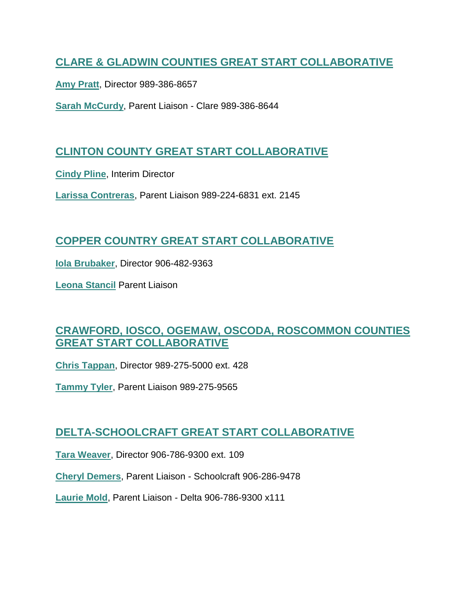#### **[CLARE & GLADWIN COUNTIES GREAT START COLLABORATIVE](https://nam10.safelinks.protection.outlook.com/?url=https%3A%2F%2Fwww.cgresd.net%2FPage%2F155&data=04%7C01%7Ckfmartin%40svsu.edu%7C2a2fee284a734ac8e5d008d963760480%7C550f45ff3e8342a197d970ad8935b0c5%7C0%7C0%7C637650181516813154%7CUnknown%7CTWFpbGZsb3d8eyJWIjoiMC4wLjAwMDAiLCJQIjoiV2luMzIiLCJBTiI6Ik1haWwiLCJXVCI6Mn0%3D%7C2000&sdata=Dmme8Ro6Y8YFebGy6InfuDsv7HAbYkvX%2FT%2FBf%2Fk3Ihk%3D&reserved=0)**

**[Amy Pratt](mailto:apratt@cgresd.net?subject=Great%20Start%20Collaborative%20and%20Parent%20Coalition)**, Director 989-386-8657

**[Sarah McCurdy](mailto:smccurdy@cgresd.net?subject=Great%20Start%20Collaborative%20and%20Parent%20Coalition)**, Parent Liaison - Clare 989-386-8644

#### **[CLINTON COUNTY GREAT](https://nam10.safelinks.protection.outlook.com/?url=https%3A%2F%2Fwww.ccresa.org%2Fpage.php%3FID%3D211&data=04%7C01%7Ckfmartin%40svsu.edu%7C2a2fee284a734ac8e5d008d963760480%7C550f45ff3e8342a197d970ad8935b0c5%7C0%7C0%7C637650181516818134%7CUnknown%7CTWFpbGZsb3d8eyJWIjoiMC4wLjAwMDAiLCJQIjoiV2luMzIiLCJBTiI6Ik1haWwiLCJXVCI6Mn0%3D%7C2000&sdata=Db0GXbgaJLUYLwHBHfkzyxXLTfn7mKxkkaJf%2FxuLwqs%3D&reserved=0) START COLLABORATIVE**

**[Cindy Pline](mailto:Pline_c@ccresa.org?subject=Great%20Start%20Collaborative%20and%20Parent%20Coalition)**, Interim Director

**[Larissa Contreras](mailto:lcontreras@ccresa.org?subject=Great%20Start%20Collaborative%20and%20Parent%20Coalition)**, Parent Liaison 989-224-6831 ext. 2145

## **[COPPER COUNTRY GREAT](https://nam10.safelinks.protection.outlook.com/?url=https%3A%2F%2Fwww.ccgreatstart.org%2F&data=04%7C01%7Ckfmartin%40svsu.edu%7C2a2fee284a734ac8e5d008d963760480%7C550f45ff3e8342a197d970ad8935b0c5%7C0%7C0%7C637650181516818134%7CUnknown%7CTWFpbGZsb3d8eyJWIjoiMC4wLjAwMDAiLCJQIjoiV2luMzIiLCJBTiI6Ik1haWwiLCJXVCI6Mn0%3D%7C2000&sdata=1SAIQNI5UIju79DxDTF15rp35WyxHIN%2BQJhl3NurJIY%3D&reserved=0) START COLLABORATIVE**

**[Iola Brubaker](mailto:ibrubaker@kfrckids.org?subject=Great%20Start%20Collaborative%20and%20Parent%20Coalition)**, Director 906-482-9363

**[Leona Stancil](mailto:greatstartparent@gmail.com?subject=Great%20Start%20Collaborative%20and%20Parent%20Coalition)** Parent Liaison

#### **[CRAWFORD, IOSCO, OGEMAW, OSCODA, ROSCOMMON](https://nam10.safelinks.protection.outlook.com/?url=http%3A%2F%2Fwww.coorisd.net%2Fprograms%2Fearly-childhood%2Fgreat-start-collaborative%2F&data=04%7C01%7Ckfmartin%40svsu.edu%7C2a2fee284a734ac8e5d008d963760480%7C550f45ff3e8342a197d970ad8935b0c5%7C0%7C0%7C637650181516823114%7CUnknown%7CTWFpbGZsb3d8eyJWIjoiMC4wLjAwMDAiLCJQIjoiV2luMzIiLCJBTiI6Ik1haWwiLCJXVCI6Mn0%3D%7C2000&sdata=TytbIb%2BOokXVwe3k69WiX8i36PjGFKdxXHSSddxa%2FS4%3D&reserved=0) COUNTIES [GREAT START COLLABORATIVE](https://nam10.safelinks.protection.outlook.com/?url=http%3A%2F%2Fwww.coorisd.net%2Fprograms%2Fearly-childhood%2Fgreat-start-collaborative%2F&data=04%7C01%7Ckfmartin%40svsu.edu%7C2a2fee284a734ac8e5d008d963760480%7C550f45ff3e8342a197d970ad8935b0c5%7C0%7C0%7C637650181516823114%7CUnknown%7CTWFpbGZsb3d8eyJWIjoiMC4wLjAwMDAiLCJQIjoiV2luMzIiLCJBTiI6Ik1haWwiLCJXVCI6Mn0%3D%7C2000&sdata=TytbIb%2BOokXVwe3k69WiX8i36PjGFKdxXHSSddxa%2FS4%3D&reserved=0)**

**[Chris Tappan](mailto:tappanc@coorisd.net?subject=Great%20Start%20Collaborative%20and%20Parent%20Coalition)**, Director 989-275-5000 ext. 428

**[Tammy Tyler](mailto:tylert@coorisd.net?subject=Great%20Start%20Collaborative%20and%20Parent%20Coalition)**, Parent Liaison 989-275-9565

#### **[DELTA-SCHOOLCRAFT GREAT START COLLABORATIVE](https://nam10.safelinks.protection.outlook.com/?url=https%3A%2F%2Fgreat-start.org%2F&data=04%7C01%7Ckfmartin%40svsu.edu%7C2a2fee284a734ac8e5d008d963760480%7C550f45ff3e8342a197d970ad8935b0c5%7C0%7C0%7C637650181516828094%7CUnknown%7CTWFpbGZsb3d8eyJWIjoiMC4wLjAwMDAiLCJQIjoiV2luMzIiLCJBTiI6Ik1haWwiLCJXVCI6Mn0%3D%7C2000&sdata=w40SkFqJCXjsSxyne2q1FT62pbt4%2BrXP8AnSWWQgNL8%3D&reserved=0)**

**[Tara Weaver](mailto:tweaver@dsisd.net?subject=Great%20Start%20Collaborative%20and%20Parent%20Coalition)**, Director 906-786-9300 ext. 109

**[Cheryl Demers](mailto:cdemers@dsisd.net?subject=Great%20Start%20Collaborative%20and%20Parent%20Coalition)**, Parent Liaison - Schoolcraft 906-286-9478

**[Laurie Mold](mailto:lmold@dsisd.k12.mi.us?subject=Great%20Start%20Collaborative%20and%20Parent%20Coalition)**, Parent Liaison - Delta 906-786-9300 x111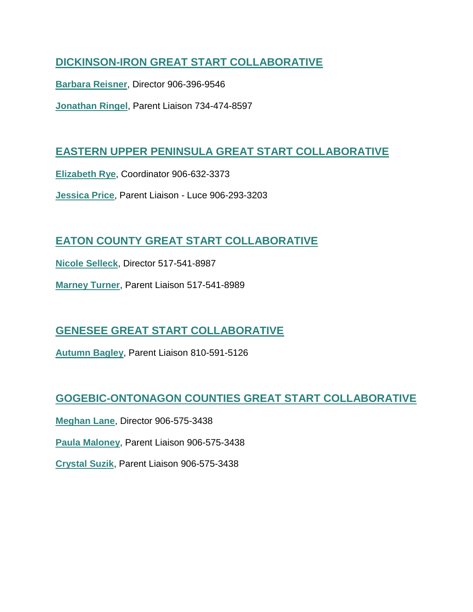## **DICKINSON-IRON GREAT [START COLLABORATIVE](https://nam10.safelinks.protection.outlook.com/?url=http%3A%2F%2Fgreatstart4kids.org%2F&data=04%7C01%7Ckfmartin%40svsu.edu%7C2a2fee284a734ac8e5d008d963760480%7C550f45ff3e8342a197d970ad8935b0c5%7C0%7C0%7C637650181516833073%7CUnknown%7CTWFpbGZsb3d8eyJWIjoiMC4wLjAwMDAiLCJQIjoiV2luMzIiLCJBTiI6Ik1haWwiLCJXVCI6Mn0%3D%7C2000&sdata=i6I37oBc9x26AAGLBzzEMGe60BP4Q9CUFCD5z1QaP4E%3D&reserved=0)**

**[Barbara Reisner](mailto:greatstart@imupmi.com?subject=Great%20Start%20Collaborative%20and%20Parent%20Coalition)**, Director 906-396-9546

**[Jonathan Ringel](mailto:%20jonathan.ringel@frontier.com?subject=Great%20Start%20Collaborative%20and%20Parent%20Coalition)**, Parent Liaison 734-474-8597

## **[EASTERN UPPER PENINSULA GREAT START COLLABORATIVE](https://nam10.safelinks.protection.outlook.com/?url=https%3A%2F%2Fwww.eupkids.com%2Fdomain%2F34&data=04%7C01%7Ckfmartin%40svsu.edu%7C2a2fee284a734ac8e5d008d963760480%7C550f45ff3e8342a197d970ad8935b0c5%7C0%7C0%7C637650181516833073%7CUnknown%7CTWFpbGZsb3d8eyJWIjoiMC4wLjAwMDAiLCJQIjoiV2luMzIiLCJBTiI6Ik1haWwiLCJXVCI6Mn0%3D%7C2000&sdata=ZpR9Pv80EqHqMlBZxemTcZlljkY5wUFzbYpBkR4r5vU%3D&reserved=0)**

**[Elizabeth Rye](mailto:erye@eupschools.org?subject=Great%20Start%20Collaborative%20and%20Parent%20Coalition)**, Coordinator 906-632-3373

**[Jessica Price](mailto:brown130@anr.msu.edu?subject=Great%20Start%20Collaborative%20and%20Parent%20Coalition)**, Parent Liaison - Luce 906-293-3203

## **[EATON COUNTY GREAT START COLLABORATIVE](https://nam10.safelinks.protection.outlook.com/?url=https%3A%2F%2Fwww.eatonresa.org%2Fearly-childhood%2Featon-great-start%2F&data=04%7C01%7Ckfmartin%40svsu.edu%7C2a2fee284a734ac8e5d008d963760480%7C550f45ff3e8342a197d970ad8935b0c5%7C0%7C0%7C637650181516838047%7CUnknown%7CTWFpbGZsb3d8eyJWIjoiMC4wLjAwMDAiLCJQIjoiV2luMzIiLCJBTiI6Ik1haWwiLCJXVCI6Mn0%3D%7C2000&sdata=%2FRvQHBcCQ5OinhGbWdYAURReDEbOTcM9wP3jzWu%2FcwE%3D&reserved=0)**

**[Nicole Selleck](mailto:nselleck@eatonresa.org?subject=Great%20Start%20Collaborative%20and%20Parent%20Coalition)**, Director 517-541-8987

**[Marney Turner](mailto:mturner@eatonresa.org?subject=Great%20Start%20Collaborative%20and%20Parent%20Coalition)**, Parent Liaison 517-541-8989

## **[GENESEE GREAT START COLLABORATIVE](https://nam10.safelinks.protection.outlook.com/?url=http%3A%2F%2Fgeneseeccp.ss19.sharpschool.com%2Fearly_childhood%2Fgreat_start_collaborative&data=04%7C01%7Ckfmartin%40svsu.edu%7C2a2fee284a734ac8e5d008d963760480%7C550f45ff3e8342a197d970ad8935b0c5%7C0%7C0%7C637650181516843023%7CUnknown%7CTWFpbGZsb3d8eyJWIjoiMC4wLjAwMDAiLCJQIjoiV2luMzIiLCJBTiI6Ik1haWwiLCJXVCI6Mn0%3D%7C2000&sdata=qgKkXFFV08cK3H7EX2SB%2Bn7h2gk80vGbtjBXX5bWpJA%3D&reserved=0)**

**[Autumn Bagley](mailto:abagley@geneseeisd.org?subject=Great%20Start%20Collaborative%20and%20Parent%20Coalition)**, Parent Liaison 810-591-5126

## **[GOGEBIC-ONTONAGON COUNTIES GREAT START COLLABORATIVE](https://nam10.safelinks.protection.outlook.com/?url=https%3A%2F%2Fwww.goisd.org%2Fgreat-start%2Fabout%2F&data=04%7C01%7Ckfmartin%40svsu.edu%7C2a2fee284a734ac8e5d008d963760480%7C550f45ff3e8342a197d970ad8935b0c5%7C0%7C0%7C637650181516848001%7CUnknown%7CTWFpbGZsb3d8eyJWIjoiMC4wLjAwMDAiLCJQIjoiV2luMzIiLCJBTiI6Ik1haWwiLCJXVCI6Mn0%3D%7C2000&sdata=rWglS296liPfhzZo3wlmKV3mcLgEjussEy47SJ1Ne2c%3D&reserved=0)**

**[Meghan Lane](mailto:mlane@goisd.org?subject=Great%20Start%20Collaborative%20and%20Parent%20Coalition)**, Director 906-575-3438

**[Paula Maloney](mailto:pmaloney@goisd.org?subject=Great%20Start%20Collaborative%20and%20Parent%20Coalition)**, Parent Liaison 906-575-3438

**[Crystal Suzik](mailto:csuzik@goisd.org?subject=Great%20Start%20Collaborative%20and%20Parent%20Coalition)**, Parent Liaison 906-575-3438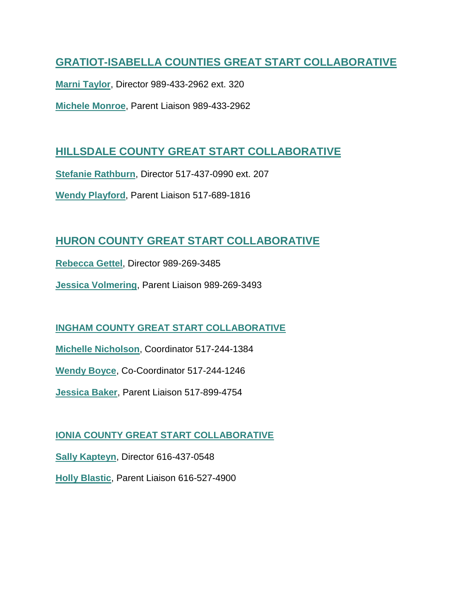## **GRATIOT-ISABELLA COUNTIES [GREAT START COLLABORATIVE](https://nam10.safelinks.protection.outlook.com/?url=https%3A%2F%2Fwww.giresd.net%2Fdomain%2F36&data=04%7C01%7Ckfmartin%40svsu.edu%7C2a2fee284a734ac8e5d008d963760480%7C550f45ff3e8342a197d970ad8935b0c5%7C0%7C0%7C637650181516848001%7CUnknown%7CTWFpbGZsb3d8eyJWIjoiMC4wLjAwMDAiLCJQIjoiV2luMzIiLCJBTiI6Ik1haWwiLCJXVCI6Mn0%3D%7C2000&sdata=Q1AesIVYU53jEpqj4KdbG9exaBbh277gb%2FvnDJnLAoc%3D&reserved=0)**

**[Marni Taylor](mailto:mtaylor@giresd.net?subject=Great%20Start%20Collaborative%20and%20Parent%20Coalition)**, Director 989-433-2962 ext. 320

**[Michele Monroe](mailto:mmonroe@giresd.net?subject=Great%20Start%20Collaborative%20and%20Parent%20Coalition)**, Parent Liaison 989-433-2962

#### **[HILLSDALE COUNTY GREAT START COLLABORATIVE](https://nam10.safelinks.protection.outlook.com/?url=http%3A%2F%2Fwww.greatstarthillsdale.com%2F&data=04%7C01%7Ckfmartin%40svsu.edu%7C2a2fee284a734ac8e5d008d963760480%7C550f45ff3e8342a197d970ad8935b0c5%7C0%7C0%7C637650181516852979%7CUnknown%7CTWFpbGZsb3d8eyJWIjoiMC4wLjAwMDAiLCJQIjoiV2luMzIiLCJBTiI6Ik1haWwiLCJXVCI6Mn0%3D%7C2000&sdata=qtcq%2B1ICqG1flnqLXsLz9G9TPmHedtxPp%2FReRU2mIuI%3D&reserved=0)**

**[Stefanie Rathburn](mailto:stefanie.rathburn@hillsdale-isd.org?subject=Great%20Start%20Collaborative%20and%20Parent%20Coalition)**, Director 517-437-0990 ext. 207

**[Wendy Playford](mailto:wendy.playford@hillsdale-isd.org?subject=Great%20Start%20Collaborative%20and%20Parent%20Coalition)**, Parent Liaison 517-689-1816

#### **[HURON COUNTY GREAT START COLLABORATIVE](https://nam10.safelinks.protection.outlook.com/?url=https%3A%2F%2Fwww.greatstarthuron.com%2F&data=04%7C01%7Ckfmartin%40svsu.edu%7C2a2fee284a734ac8e5d008d963760480%7C550f45ff3e8342a197d970ad8935b0c5%7C0%7C0%7C637650181516857958%7CUnknown%7CTWFpbGZsb3d8eyJWIjoiMC4wLjAwMDAiLCJQIjoiV2luMzIiLCJBTiI6Ik1haWwiLCJXVCI6Mn0%3D%7C2000&sdata=jQIiDVOlOngux8fEbSCE3%2B6UiIOPg77kEBzTeEzT9B4%3D&reserved=0)**

**[Rebecca Gettel](mailto:rebeccal@huronisd.org?subject=Great%20Start%20Collaborative%20and%20Parent%20Coalition)**, Director 989-269-3485

**[Jessica Volmering](mailto:jvolmering@huronisd.org?subject=Great%20Start%20Collaborative%20and%20Parent%20Coalition)**, Parent Liaison 989-269-3493

#### **[INGHAM COUNTY GREAT START COLLABORATIVE](https://nam10.safelinks.protection.outlook.com/?url=http%3A%2F%2Finghamgreatstart.org%2F&data=04%7C01%7Ckfmartin%40svsu.edu%7C2a2fee284a734ac8e5d008d963760480%7C550f45ff3e8342a197d970ad8935b0c5%7C0%7C0%7C637650181516862939%7CUnknown%7CTWFpbGZsb3d8eyJWIjoiMC4wLjAwMDAiLCJQIjoiV2luMzIiLCJBTiI6Ik1haWwiLCJXVCI6Mn0%3D%7C2000&sdata=LR0Ozcn9ZLffPGfj02oVGsQ8xP6DsjChcOp2CpCjG5k%3D&reserved=0)**

**[Michelle Nicholson](mailto:mnichols@inghamisd.org?subject=Great%20Start%20Collaborative%20and%20Parent%20Coalition)**, Coordinator 517-244-1384

**[Wendy Boyce](mailto:wboyce@inghamisd.org?subject=Great%20Start%20Collaborative%20and%20Parent%20Coalition)**, Co-Coordinator 517-244-1246

**[Jessica Baker](mailto:inghamgscparents@gmail.com?subject=Great%20Start%20Collaborative%20and%20Parent%20Coalition)**, Parent Liaison 517-899-4754

#### **[IONIA COUNTY GREAT START COLLABORATIVE](https://nam10.safelinks.protection.outlook.com/?url=http%3A%2F%2Fwww.greatstartionia.org%2F&data=04%7C01%7Ckfmartin%40svsu.edu%7C2a2fee284a734ac8e5d008d963760480%7C550f45ff3e8342a197d970ad8935b0c5%7C0%7C0%7C637650181516862939%7CUnknown%7CTWFpbGZsb3d8eyJWIjoiMC4wLjAwMDAiLCJQIjoiV2luMzIiLCJBTiI6Ik1haWwiLCJXVCI6Mn0%3D%7C2000&sdata=7lcwRtfr%2BbhpN2x2JkUdK50rlVOKW6l2whhjcGGaFx0%3D&reserved=0)**

**[Sally Kapteyn](mailto:skapteyn@ioniaisd.org?subject=Great%20Start%20Collaborative%20and%20Parent%20Coalition)**, Director 616-437-0548

**[Holly Blastic](mailto:hblastic@ioniaisd.org?subject=Great%20Start%20Collaborative%20and%20Parent%20Coalition)**, Parent Liaison 616-527-4900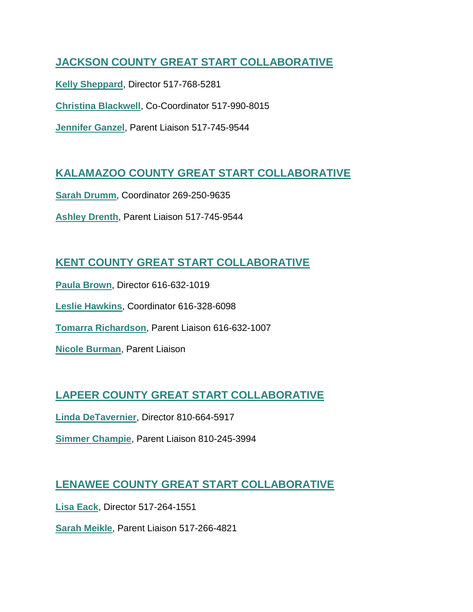## **[JACKSON COUNTY GREAT](https://nam10.safelinks.protection.outlook.com/?url=http%3A%2F%2Fwww.greatstartjackson.org%2F&data=04%7C01%7Ckfmartin%40svsu.edu%7C2a2fee284a734ac8e5d008d963760480%7C550f45ff3e8342a197d970ad8935b0c5%7C0%7C0%7C637650181516867922%7CUnknown%7CTWFpbGZsb3d8eyJWIjoiMC4wLjAwMDAiLCJQIjoiV2luMzIiLCJBTiI6Ik1haWwiLCJXVCI6Mn0%3D%7C2000&sdata=7K76IHdIA89ACD04ZUV0RorpoqkQg3T6RRURZb6Vtto%3D&reserved=0) START COLLABORATIVE**

**[Kelly Sheppard](mailto:kelly.sheppard@jcisd.org?subject=Great%20Start%20Collaborative%20and%20Parent%20Coalition)**, Director 517-768-5281

**[Christina Blackwell](mailto:christina.blackwell@jcisd.org?subject=Great%20Start%20Collaborative%20and%20Parent%20Coalition)**, Co-Coordinator 517-990-8015

**[Jennifer Ganzel](mailto:greatstartparents@live.com?subject=Great%20Start%20Collaborative%20and%20Parent%20Coalition)**, Parent Liaison 517-745-9544

# **[KALAMAZOO COUNTY GREAT START COLLABORATIVE](https://nam10.safelinks.protection.outlook.com/?url=https%3A%2F%2Fwww.kalamazoogreatstartcollaborative.org%2F&data=04%7C01%7Ckfmartin%40svsu.edu%7C2a2fee284a734ac8e5d008d963760480%7C550f45ff3e8342a197d970ad8935b0c5%7C0%7C0%7C637650181516872897%7CUnknown%7CTWFpbGZsb3d8eyJWIjoiMC4wLjAwMDAiLCJQIjoiV2luMzIiLCJBTiI6Ik1haWwiLCJXVCI6Mn0%3D%7C2000&sdata=ciVeprRpFTmh7H7wFx7hrKF1GSt%2FoOO52yBZx438AIw%3D&reserved=0)**

**[Sarah Drumm](mailto:sarah.drumm@kresa.org?subject=Great%20Start%20Collaborative%20and%20Parent%20Coalition)**, Coordinator 269-250-9635

**[Ashley Drenth](mailto:Ashley.drenth@kresa.org?subject=Great%20Start%20Collaborative%20and%20Parent%20Coalition)**, Parent Liaison 517-745-9544

## **[KENT COUNTY GREAT START COLLABORATIVE](https://nam10.safelinks.protection.outlook.com/?url=https%3A%2F%2Fgreatstartkent.org%2F&data=04%7C01%7Ckfmartin%40svsu.edu%7C2a2fee284a734ac8e5d008d963760480%7C550f45ff3e8342a197d970ad8935b0c5%7C0%7C0%7C637650181516877870%7CUnknown%7CTWFpbGZsb3d8eyJWIjoiMC4wLjAwMDAiLCJQIjoiV2luMzIiLCJBTiI6Ik1haWwiLCJXVCI6Mn0%3D%7C2000&sdata=HiraaeEoTZT5EyTLU6cXLFzixOquWxhV2KPyWncSfos%3D&reserved=0)**

**[Paula Brown](mailto:pbrown@successstartsearly.org?subject=Great%20Start%20Collaborative%20and%20Parent%20Coalition)**, Director 616-632-1019

**[Leslie Hawkins](mailto:lhawkins@successstartsearly.org?subject=Great%20Start%20Collaborative%20and%20Parent%20Coalition)**, Coordinator 616-328-6098

**[Tomarra Richardson](mailto:trichardson@SuccessStartsEarly.org?subject=Great%20Start%20Collaborative%20and%20Parent%20Coalition)**, Parent Liaison 616-632-1007

**[Nicole Burman](mailto:nburman@successstartsearly.org?subject=Great%20Start%20Collaborative%20and%20Parent%20Coalition)**, Parent Liaison

## **[LAPEER COUNTY GREAT START COLLABORATIVE](https://nam10.safelinks.protection.outlook.com/?url=http%3A%2F%2Fwww.lcisd.k12.mi.us%2Fdepartments%2Fearly_childhood%2Fgreat_start_collaborative&data=04%7C01%7Ckfmartin%40svsu.edu%7C2a2fee284a734ac8e5d008d963760480%7C550f45ff3e8342a197d970ad8935b0c5%7C0%7C0%7C637650181516882848%7CUnknown%7CTWFpbGZsb3d8eyJWIjoiMC4wLjAwMDAiLCJQIjoiV2luMzIiLCJBTiI6Ik1haWwiLCJXVCI6Mn0%3D%7C2000&sdata=N5cr6RzEL8oMPBkV%2FYzdMjTw154WD9ySBC68MOg%2BraE%3D&reserved=0)**

**[Linda DeTavernier](mailto:ldetavernier@lapeerisd.org?subject=Great%20Start%20Collaborative%20and%20Parent%20Coalition)**, Director 810-664-5917

**[Simmer Champie](mailto:schampie@lapeerisd.org?subject=Great%20Start%20Collaborative%20and%20Parent%20Coalition)**, Parent Liaison 810-245-3994

## **[LENAWEE COUNTY GREAT](https://nam10.safelinks.protection.outlook.com/?url=http%3A%2F%2Fwww.lenaweegreatstart.org%2F&data=04%7C01%7Ckfmartin%40svsu.edu%7C2a2fee284a734ac8e5d008d963760480%7C550f45ff3e8342a197d970ad8935b0c5%7C0%7C0%7C637650181516882848%7CUnknown%7CTWFpbGZsb3d8eyJWIjoiMC4wLjAwMDAiLCJQIjoiV2luMzIiLCJBTiI6Ik1haWwiLCJXVCI6Mn0%3D%7C2000&sdata=IC9jwA1HM8vrKO83EvBmIBKw39L77xHq2IsC3ScX7B4%3D&reserved=0) START COLLABORATIVE**

**[Lisa Eack](mailto:Lisa.Eack@LenaweeGreatStart.org?subject=Great%20Start%20Collaborative%20and%20Parent%20Coalition)**, Director 517-264-1551

**[Sarah Meikle](mailto:sarah.meikle@lisd.us?subject=Great%20Start%20Collaborative%20and%20Parent%20Coalition)**, Parent Liaison 517-266-4821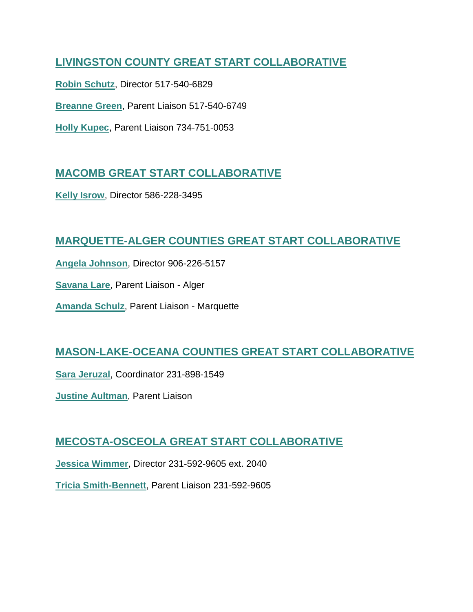## **[LIVINGSTON COUNTY GREAT START COLLABORATIVE](https://nam10.safelinks.protection.outlook.com/?url=http%3A%2F%2Fgreatstartlivingston.org%2F&data=04%7C01%7Ckfmartin%40svsu.edu%7C2a2fee284a734ac8e5d008d963760480%7C550f45ff3e8342a197d970ad8935b0c5%7C0%7C0%7C637650181516887826%7CUnknown%7CTWFpbGZsb3d8eyJWIjoiMC4wLjAwMDAiLCJQIjoiV2luMzIiLCJBTiI6Ik1haWwiLCJXVCI6Mn0%3D%7C2000&sdata=a%2BR%2F7J%2B8P3OfTU5NROLSjp3qW%2FtCpcVncS2bVMYO9Rw%3D&reserved=0)**

**[Robin Schutz](mailto:robinschutz@livingstonesa.org?subject=Great%20Start%20Collaborative%20and%20Parent%20Coalition)**, Director 517-540-6829

**[Breanne Green](mailto:breannegreen@livingstonesa.org%20?subject=Great%20Start%20Collaborative%20and%20Parent%20Coalition)**, Parent Liaison 517-540-6749

**[Holly Kupec](mailto:hollykupec@livingstonesa.org?subject=Great%20Start%20Collaborative%20and%20Parent%20Coalition)**, Parent Liaison 734-751-0053

## **[MACOMB GREAT START COLLABORATIVE](https://nam10.safelinks.protection.outlook.com/?url=http%3A%2F%2Fwww.greatstartmacomb.org%2F&data=04%7C01%7Ckfmartin%40svsu.edu%7C2a2fee284a734ac8e5d008d963760480%7C550f45ff3e8342a197d970ad8935b0c5%7C0%7C0%7C637650181516892805%7CUnknown%7CTWFpbGZsb3d8eyJWIjoiMC4wLjAwMDAiLCJQIjoiV2luMzIiLCJBTiI6Ik1haWwiLCJXVCI6Mn0%3D%7C2000&sdata=Z59SE6uqZVNvBKkRv3M4WbQ%2F86XgH7Y441tbTlzi7xY%3D&reserved=0)**

**[Kelly Isrow](mailto:kisrow@misd.net?subject=Great%20Start%20Collaborative%20and%20Parent%20Coalition)**, Director 586-228-3495

## **[MARQUETTE-ALGER COUNTIES GREAT START COLLABORATIVE](https://nam10.safelinks.protection.outlook.com/?url=http%3A%2F%2Fwww.maresa.org%2Fearly-on%2Fmarquette-alger-great-start-collaborative%2F&data=04%7C01%7Ckfmartin%40svsu.edu%7C2a2fee284a734ac8e5d008d963760480%7C550f45ff3e8342a197d970ad8935b0c5%7C0%7C0%7C637650181516892805%7CUnknown%7CTWFpbGZsb3d8eyJWIjoiMC4wLjAwMDAiLCJQIjoiV2luMzIiLCJBTiI6Ik1haWwiLCJXVCI6Mn0%3D%7C2000&sdata=Yp3yDv7sPpl1d5vcLT%2BEYyY1CCixs1G7bma97G8mvlI%3D&reserved=0)**

**[Angela Johnson](mailto:ajohnson@maresa.org?subject=Great%20Start%20Collaborative%20and%20Parent%20Coalition)**, Director 906-226-5157

**[Savana Lare](mailto:slare23@gmail.com?subject=Great%20Start%20Collaborative%20and%20Parent%20Coalition)**, Parent Liaison - Alger

**[Amanda Schulz](mailto:aschulz@greatstartma.org?subject=Great%20Start%20Collaborative%20and%20Parent%20Coalition)**, Parent Liaison - Marquette

## **[MASON-LAKE-OCEANA COUNTIES GREAT START COLLABORATIVE](https://nam10.safelinks.protection.outlook.com/?url=https%3A%2F%2Fgreatstartmlo.org%2F&data=04%7C01%7Ckfmartin%40svsu.edu%7C2a2fee284a734ac8e5d008d963760480%7C550f45ff3e8342a197d970ad8935b0c5%7C0%7C0%7C637650181516897785%7CUnknown%7CTWFpbGZsb3d8eyJWIjoiMC4wLjAwMDAiLCJQIjoiV2luMzIiLCJBTiI6Ik1haWwiLCJXVCI6Mn0%3D%7C2000&sdata=q52I381ieCRjDRnPcU8hdWgtiIhCsGoQgiqx4M8YFpA%3D&reserved=0)**

**[Sara Jeruzal](mailto:sjeruzal@wsesd.org?subject=Great%20Start%20Collaborative%20and%20Parent%20Coalition)**, Coordinator 231-898-1549

**[Justine Aultman](mailto:jaultman@wsesd.org?subject=Great%20Start%20Collaborative%20and%20Parent%20Coalition)**, Parent Liaison

## **[MECOSTA-OSCEOLA GREAT START COLLABORATIVE](https://nam10.safelinks.protection.outlook.com/?url=http%3A%2F%2Fwww.mogreatstart.org%2F&data=04%7C01%7Ckfmartin%40svsu.edu%7C2a2fee284a734ac8e5d008d963760480%7C550f45ff3e8342a197d970ad8935b0c5%7C0%7C0%7C637650181516902768%7CUnknown%7CTWFpbGZsb3d8eyJWIjoiMC4wLjAwMDAiLCJQIjoiV2luMzIiLCJBTiI6Ik1haWwiLCJXVCI6Mn0%3D%7C2000&sdata=4jSvcTD5qmYqbxkZ2EiQ3t6AgziXyLr7UohdCHO5KBY%3D&reserved=0)**

**[Jessica Wimmer](mailto:jwimmer@moisd.org?subject=Great%20Start%20Collaborative%20and%20Parent%20Coalition)**, Director 231-592-9605 ext. 2040

**[Tricia Smith-Bennett](mailto:tsmith@moisd.org?subject=Great%20Start%20Collaborative%20and%20Parent%20Coalition)**, Parent Liaison 231-592-9605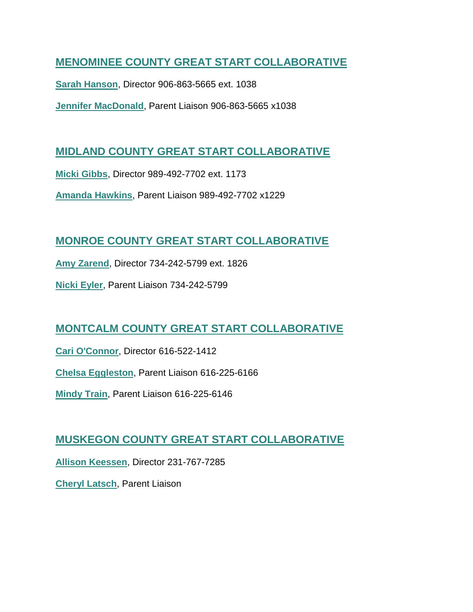#### **[MENOMINEE COUNTY GREAT START COLLABORATIVE](https://nam10.safelinks.protection.outlook.com/?url=http%3A%2F%2Fwww.greatstartmenomineecounty.org%2F&data=04%7C01%7Ckfmartin%40svsu.edu%7C2a2fee284a734ac8e5d008d963760480%7C550f45ff3e8342a197d970ad8935b0c5%7C0%7C0%7C637650181516907745%7CUnknown%7CTWFpbGZsb3d8eyJWIjoiMC4wLjAwMDAiLCJQIjoiV2luMzIiLCJBTiI6Ik1haWwiLCJXVCI6Mn0%3D%7C2000&sdata=T54waGDGDOkKKseEZqEzE50tONR1yF3E6CqSPPejWBk%3D&reserved=0)**

**[Sarah Hanson](mailto:shanson@mc-isd.org?subject=Great%20Start%20Collaborative%20and%20Parent%20Coalition)**, Director 906-863-5665 ext. 1038

**[Jennifer MacDonald](mailto:jmacdonald@mc-isd.org?subject=Great%20Start%20Collaborative%20and%20Parent%20Coalition)**, Parent Liaison 906-863-5665 x1038

## **[MIDLAND COUNTY GREAT](https://nam10.safelinks.protection.outlook.com/?url=http%3A%2F%2Fgreatstartmidland.org%2F&data=04%7C01%7Ckfmartin%40svsu.edu%7C2a2fee284a734ac8e5d008d963760480%7C550f45ff3e8342a197d970ad8935b0c5%7C0%7C0%7C637650181516907745%7CUnknown%7CTWFpbGZsb3d8eyJWIjoiMC4wLjAwMDAiLCJQIjoiV2luMzIiLCJBTiI6Ik1haWwiLCJXVCI6Mn0%3D%7C2000&sdata=RslYakAxtziL0%2BsUHBC2Jy5orr8Uw8LBFLQHaJStTL8%3D&reserved=0) START COLLABORATIVE**

**[Micki Gibbs](mailto:mgibbs@mcesa.k12.mi.us?subject=Great%20Start%20Collaborative%20and%20Parent%20Coalition)**, Director 989-492-7702 ext. 1173

**[Amanda Hawkins](mailto:amandahawkins@mcesa.k12.mi.us?subject=Great%20Start%20Collaborative%20and%20Parent%20Coalition)**, Parent Liaison 989-492-7702 x1229

## **[MONROE COUNTY GREAT START COLLABORATIVE](https://nam10.safelinks.protection.outlook.com/?url=https%3A%2F%2Fwww.monroeisd.us%2Fgreat-start%2Fabout-us%2F&data=04%7C01%7Ckfmartin%40svsu.edu%7C2a2fee284a734ac8e5d008d963760480%7C550f45ff3e8342a197d970ad8935b0c5%7C0%7C0%7C637650181516912719%7CUnknown%7CTWFpbGZsb3d8eyJWIjoiMC4wLjAwMDAiLCJQIjoiV2luMzIiLCJBTiI6Ik1haWwiLCJXVCI6Mn0%3D%7C2000&sdata=oG2mNK060b2d6PJzxsj%2FwMN2Aryz40k%2BW8EEwRAGlG0%3D&reserved=0)**

**[Amy Zarend](mailto:amy.zarend@monroeisd.us?subject=Great%20Start%20Collaborative%20and%20Parent%20Coalition)**, Director 734-242-5799 ext. 1826

**[Nicki Eyler](mailto:nicole.eyler@monroeisd.us?subject=Great%20Start%20Collaborative%20and%20Parent%20Coalition)**, Parent Liaison 734-242-5799

## **[MONTCALM COUNTY GREAT START COLLABORATIVE](https://nam10.safelinks.protection.outlook.com/?url=http%3A%2F%2Fgreatstartmontcalm.org%2F&data=04%7C01%7Ckfmartin%40svsu.edu%7C2a2fee284a734ac8e5d008d963760480%7C550f45ff3e8342a197d970ad8935b0c5%7C0%7C0%7C637650181516917695%7CUnknown%7CTWFpbGZsb3d8eyJWIjoiMC4wLjAwMDAiLCJQIjoiV2luMzIiLCJBTiI6Ik1haWwiLCJXVCI6Mn0%3D%7C2000&sdata=NPL1Wk5wvNUyKpoNi%2BoBjHGrY2OElFDSieHBGwVX1BY%3D&reserved=0)**

**[Cari O'Connor](mailto:coconnor@maisd.com?subject=Great%20Start%20Collaborative%20and%20Parent%20Coalition)**, Director 616-522-1412

**[Chelsa Eggleston](mailto:ceggleston@maisd.com?subject=Great%20Start%20Collaborative%20and%20Parent%20Coalition)**, Parent Liaison 616-225-6166

**[Mindy Train](mailto:mtrain@maisd.com?subject=Great%20Start%20Collaborative%20and%20Parent%20Coalition)**, Parent Liaison 616-225-6146

## **[MUSKEGON COUNTY GREAT START COLLABORATIVE](https://nam10.safelinks.protection.outlook.com/?url=https%3A%2F%2Fwww.muskegonisd.org%2Fearlychildhood%2Fgreatstart%2F&data=04%7C01%7Ckfmartin%40svsu.edu%7C2a2fee284a734ac8e5d008d963760480%7C550f45ff3e8342a197d970ad8935b0c5%7C0%7C0%7C637650181516922673%7CUnknown%7CTWFpbGZsb3d8eyJWIjoiMC4wLjAwMDAiLCJQIjoiV2luMzIiLCJBTiI6Ik1haWwiLCJXVCI6Mn0%3D%7C2000&sdata=PqZqSf3gZsL6FWGYgNmdVDO%2B9C%2BDGoIZXDbRxlgfmWc%3D&reserved=0)**

**[Allison Keessen](mailto:akeessen@muskegonisd.org?subject=Great%20Start%20Collaborative%20and%20Parent%20Coalition)**, Director 231-767-7285

**[Cheryl Latsch](mailto:calatsch@muskegonisd.org?subject=Great%20Start%20Collaborative%20and%20Parent%20Coalition)**, Parent Liaison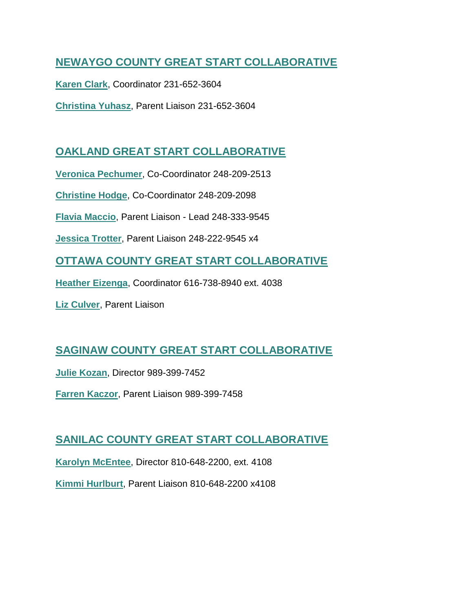## **[NEWAYGO COUNTY GREAT](https://nam10.safelinks.protection.outlook.com/?url=https%3A%2F%2Fwww.ncresa.org%2FPage%2F308&data=04%7C01%7Ckfmartin%40svsu.edu%7C2a2fee284a734ac8e5d008d963760480%7C550f45ff3e8342a197d970ad8935b0c5%7C0%7C0%7C637650181516922673%7CUnknown%7CTWFpbGZsb3d8eyJWIjoiMC4wLjAwMDAiLCJQIjoiV2luMzIiLCJBTiI6Ik1haWwiLCJXVCI6Mn0%3D%7C2000&sdata=4j7BxROc2uysm5%2B1K2Hfh1SCTtFtbwHzqETXrRxmVIM%3D&reserved=0) START COLLABORATIVE**

**[Karen Clark](mailto:kclark@ncresa.org?subject=Great%20Start%20Collaborative%20and%20Parent%20Coalition)**, Coordinator 231-652-3604

**[Christina Yuhasz](mailto:cyuhasz@ncresa.org?subject=Great%20Start%20Collaborative%20and%20Parent%20Coalition)**, Parent Liaison 231-652-3604

## **[OAKLAND GREAT START COLLABORATIVE](https://nam10.safelinks.protection.outlook.com/?url=https%3A%2F%2Fwww.greatstartoakland.org%2F&data=04%7C01%7Ckfmartin%40svsu.edu%7C2a2fee284a734ac8e5d008d963760480%7C550f45ff3e8342a197d970ad8935b0c5%7C0%7C0%7C637650181516927651%7CUnknown%7CTWFpbGZsb3d8eyJWIjoiMC4wLjAwMDAiLCJQIjoiV2luMzIiLCJBTiI6Ik1haWwiLCJXVCI6Mn0%3D%7C2000&sdata=dwzW4lRzXrPYyXxhhCLmPetGMukAYuctcPcPomEe8BE%3D&reserved=0)**

**[Veronica Pechumer](mailto:veronica.pechumer@oakland.k12.mi.us?subject=Great%20Start%20Collaborative%20and%20Parent%20Coalition)**, Co-Coordinator 248-209-2513

**[Christine Hodge](mailto:Christine.Hodge@oakland.k12.mi.us?subject=Great%20Start%20Collaborative%20and%20Parent%20Coalition)**, Co-Coordinator 248-209-2098

**[Flavia Maccio](mailto:fmaccio@oaklandchildcare.org?subject=Great%20Start%20Collaborative%20and%20Parent%20Coalition)**, Parent Liaison - Lead 248-333-9545

**[Jessica Trotter](mailto:jessica.trotter@oakland.k12.mi.us?subject=Great%20Start%20Collaborative%20and%20Parent%20Coalition)**, Parent Liaison 248-222-9545 x4

**[OTTAWA COUNTY GREAT START COLLABORATIVE](https://nam10.safelinks.protection.outlook.com/?url=https%3A%2F%2Fhelpmegrowottawa.org%2Fgreat-start-collaborative%2F&data=04%7C01%7Ckfmartin%40svsu.edu%7C2a2fee284a734ac8e5d008d963760480%7C550f45ff3e8342a197d970ad8935b0c5%7C0%7C0%7C637650181516932630%7CUnknown%7CTWFpbGZsb3d8eyJWIjoiMC4wLjAwMDAiLCJQIjoiV2luMzIiLCJBTiI6Ik1haWwiLCJXVCI6Mn0%3D%7C2000&sdata=tbBUdjDweV%2Fy7H7cS5UiGuAR8TdVyREUdyalaqWSA4Q%3D&reserved=0)**

**Heather [Eizenga](mailto:heizenga@oaisd.org?subject=Great%20Start%20Collaborative%20and%20Parent%20Coalition)**, Coordinator 616-738-8940 ext. 4038

**[Liz Culver](mailto:%20lculver@oaisd.org?subject=Great%20Start%20Collaborative%20and%20Parent%20Coalition)**, Parent Liaison

## **[SAGINAW COUNTY GREAT](https://nam10.safelinks.protection.outlook.com/?url=http%3A%2F%2Fwww.greatstartsaginaw.org%2F&data=04%7C01%7Ckfmartin%40svsu.edu%7C2a2fee284a734ac8e5d008d963760480%7C550f45ff3e8342a197d970ad8935b0c5%7C0%7C0%7C637650181516937612%7CUnknown%7CTWFpbGZsb3d8eyJWIjoiMC4wLjAwMDAiLCJQIjoiV2luMzIiLCJBTiI6Ik1haWwiLCJXVCI6Mn0%3D%7C2000&sdata=rN%2BAg3UFroYd%2FLvJj6HUjY8eNA5mOLOVnM2OrMUjzY4%3D&reserved=0) START COLLABORATIVE**

**[Julie Kozan](mailto:jkozan@sisd.cc?subject=Great%20Start%20Collaborative%20and%20Parent%20Coalition)**, Director 989-399-7452

**[Farren Kaczor](mailto:fsamuels@sisd.cc?subject=Great%20Start%20Collaborative%20and%20Parent%20Coalition)**, Parent Liaison 989-399-7458

## **[SANILAC COUNTY GREAT](https://nam10.safelinks.protection.outlook.com/?url=http%3A%2F%2Fwww.greatstartsanilac.com%2F&data=04%7C01%7Ckfmartin%40svsu.edu%7C2a2fee284a734ac8e5d008d963760480%7C550f45ff3e8342a197d970ad8935b0c5%7C0%7C0%7C637650181516937612%7CUnknown%7CTWFpbGZsb3d8eyJWIjoiMC4wLjAwMDAiLCJQIjoiV2luMzIiLCJBTiI6Ik1haWwiLCJXVCI6Mn0%3D%7C2000&sdata=nfOIrCWmGVtqmMJWkRG1nOPbiz30TH7uEKZHE4gDBTk%3D&reserved=0) START COLLABORATIVE**

**[Karolyn McEntee](mailto:kmcentee@sanilacisd.org?subject=Great%20Start%20Collaborative%20and%20Parent%20Coalition)**, Director 810-648-2200, ext. 4108

**[Kimmi Hurlburt](mailto:khurlburt@sanilacisd.org?subject=Great%20Start%20Collaborative%20and%20Parent%20Coalition)**, Parent Liaison 810-648-2200 x4108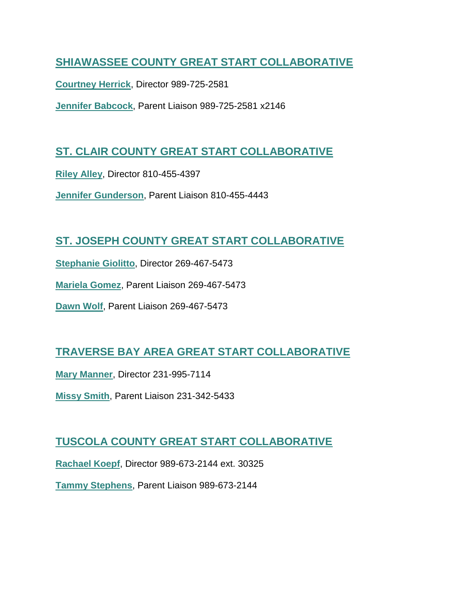#### **[SHIAWASSEE COUNTY GREAT START COLLABORATIVE](https://nam10.safelinks.protection.outlook.com/?url=https%3A%2F%2Fwww.sresd.org%2FDistrict%2FDepartment%2F22-Early-Childhood%2FPortal%2Fshiawassee-great-start-collaborative&data=04%7C01%7Ckfmartin%40svsu.edu%7C2a2fee284a734ac8e5d008d963760480%7C550f45ff3e8342a197d970ad8935b0c5%7C0%7C0%7C637650181516942594%7CUnknown%7CTWFpbGZsb3d8eyJWIjoiMC4wLjAwMDAiLCJQIjoiV2luMzIiLCJBTiI6Ik1haWwiLCJXVCI6Mn0%3D%7C2000&sdata=mMh7ywjAw%2FCdjWxBL%2FZ%2B668Nsk0OFD5VB3tYgUt5Xto%3D&reserved=0)**

**[Courtney Herrick](mailto:herrick@sresd.org?subject=Great%20Start%20Collaborative%20and%20Parent%20Coalition)**, Director 989-725-2581

**[Jennifer Babcock](mailto:babcockj@sresd.org?subject=Great%20Start%20Collaborative%20and%20Parent%20Coalition)**, Parent Liaison 989-725-2581 x2146

## **[ST. CLAIR COUNTY GREAT START COLLABORATIVE](https://nam10.safelinks.protection.outlook.com/?url=http%3A%2F%2Fsccresa.org%2Fcms%2Fone.aspx%3FportalId%3D496562%26pageId%3D13040269&data=04%7C01%7Ckfmartin%40svsu.edu%7C2a2fee284a734ac8e5d008d963760480%7C550f45ff3e8342a197d970ad8935b0c5%7C0%7C0%7C637650181516947569%7CUnknown%7CTWFpbGZsb3d8eyJWIjoiMC4wLjAwMDAiLCJQIjoiV2luMzIiLCJBTiI6Ik1haWwiLCJXVCI6Mn0%3D%7C2000&sdata=%2FfBtHd9BFUTV93j%2Fh55CVgGrdCGwP1chA6J37%2BmFJM4%3D&reserved=0)**

**[Riley Alley](mailto:alley.riley@sccresa.org?subject=Great%20Start%20Collaborative%20and%20Parent%20Coalition)**, Director 810-455-4397

**[Jennifer Gunderson](mailto:gunderson.jennifer@sccresa.org?subject=Great%20Start%20Collaborative%20and%20Parent%20Coalition)**, Parent Liaison 810-455-4443

## **[ST. JOSEPH COUNTY GREAT START COLLABORATIVE](https://nam10.safelinks.protection.outlook.com/?url=https%3A%2F%2Fwww.facebook.com%2FSJCGreatStart%2F&data=04%7C01%7Ckfmartin%40svsu.edu%7C2a2fee284a734ac8e5d008d963760480%7C550f45ff3e8342a197d970ad8935b0c5%7C0%7C0%7C637650181516952543%7CUnknown%7CTWFpbGZsb3d8eyJWIjoiMC4wLjAwMDAiLCJQIjoiV2luMzIiLCJBTiI6Ik1haWwiLCJXVCI6Mn0%3D%7C2000&sdata=RRKfthe9VrrJ7ISSaSvkMFZAizOnJ7pbvXyWXHxkWCI%3D&reserved=0)**

**[Stephanie Giolitto](mailto:sgiolitto@sjcisd.org?subject=Great%20Start%20Collaborative%20and%20Parent%20Coalition)**, Director 269-467-5473

**[Mariela Gomez](mailto:greatstartmariela@gmail.com?subject=Great%20Start%20Collaborative%20and%20Parent%20Coalition)**, Parent Liaison 269-467-5473

**[Dawn Wolf](mailto:dwolf@sjcisd.org?subject=Great%20Start%20Collaborative%20and%20Parent%20Coalition)**, Parent Liaison 269-467-5473

## **TRAVERSE BAY AREA [GREAT START COLLABORATIVE](https://nam10.safelinks.protection.outlook.com/?url=https%3A%2F%2Fgreatstartkids.com%2F&data=04%7C01%7Ckfmartin%40svsu.edu%7C2a2fee284a734ac8e5d008d963760480%7C550f45ff3e8342a197d970ad8935b0c5%7C0%7C0%7C637650181516952543%7CUnknown%7CTWFpbGZsb3d8eyJWIjoiMC4wLjAwMDAiLCJQIjoiV2luMzIiLCJBTiI6Ik1haWwiLCJXVCI6Mn0%3D%7C2000&sdata=vZuxh3ftGU4vjYSHpyj%2F3uYMLq4RUCDUoJxIl5JC6Po%3D&reserved=0)**

**[Mary Manner](mailto:mumanner@tcchamber.org?subject=Great%20Start%20Collaborative%20and%20Parent%20Coalition)**, Director 231-995-7114

**[Missy Smith](mailto:missy@greatstartkids.com?subject=Great%20Start%20Collaborative%20and%20Parent%20Coalition)**, Parent Liaison 231-342-5433

## **[TUSCOLA COUNTY GREAT](https://nam10.safelinks.protection.outlook.com/?url=http%3A%2F%2Fwww.greatstarttuscola.org%2F&data=04%7C01%7Ckfmartin%40svsu.edu%7C2a2fee284a734ac8e5d008d963760480%7C550f45ff3e8342a197d970ad8935b0c5%7C0%7C0%7C637650181516957520%7CUnknown%7CTWFpbGZsb3d8eyJWIjoiMC4wLjAwMDAiLCJQIjoiV2luMzIiLCJBTiI6Ik1haWwiLCJXVCI6Mn0%3D%7C2000&sdata=48jgzaskxssWMITVxEAKmVWFHXK%2Fyvjn6qd9iiaeqb4%3D&reserved=0) START COLLABORATIVE**

**[Rachael Koepf](mailto:greatstarttuscola@gmail.com?subject=Great%20Start%20Collaborative%20and%20Parent%20Coalition)**, Director 989-673-2144 ext. 30325

**[Tammy Stephens](mailto:gstuscolapc@gmail.com?subject=Great%20Start%20Collaborative%20and%20Parent%20Coalition)**, Parent Liaison 989-673-2144